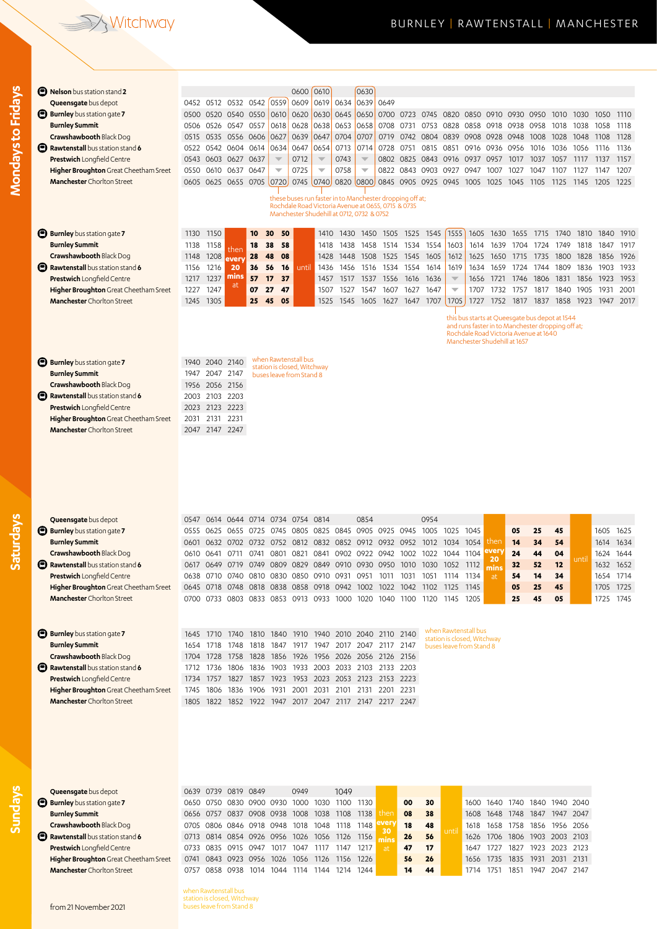## Vitchway

**Mondays to Fridays**

Mondays to Fridays

**Saturdays**

**Sundays**

| <b>B</b> Nelson bus station stand 2                                        |                                                                                            |                |                                              |                |                         | 0600                          | 0610                     |                | 0630                                               |               |                                                          |                                                                       |                                                         |                   |                              |              |                                                |              |              |                        |              |
|----------------------------------------------------------------------------|--------------------------------------------------------------------------------------------|----------------|----------------------------------------------|----------------|-------------------------|-------------------------------|--------------------------|----------------|----------------------------------------------------|---------------|----------------------------------------------------------|-----------------------------------------------------------------------|---------------------------------------------------------|-------------------|------------------------------|--------------|------------------------------------------------|--------------|--------------|------------------------|--------------|
| Queensgate bus depot                                                       |                                                                                            |                | 0452 0512 0532 0542                          |                | 0559                    | 0609                          | 0619                     | 0634           | 0639                                               | 0649          |                                                          |                                                                       |                                                         |                   |                              |              |                                                |              |              |                        |              |
| <b>Burnley</b> bus station gate 7                                          | 0500                                                                                       |                | 0520 0540                                    | 0550           | 0610                    | 0620                          | 0630                     | 0645           | 0650                                               |               | 0700 0723 0745                                           |                                                                       | 0820                                                    | 0850              | 0910                         | 0930         | 0950                                           | 1010         | 1030         | 1050                   | 1110         |
| <b>Burnley Summit</b><br>Crawshawbooth Black Dog                           | 0506                                                                                       | 0526           | 0547                                         | 0557           | 0618                    | 0628                          | 0638                     | 0653           | 0658                                               | 0708          | 0731                                                     | 0753                                                                  | 0828                                                    | 0858              | 0918                         | 0938         | 0958                                           | 1018         | 1038         | 1058                   | 1118         |
| Rawtenstall bus station stand 6                                            | 0515                                                                                       |                | 0535 0556 0606<br>0604                       | 0614           | 0627<br>0634            | 0639<br>0647                  | 0647<br>0654             | 0704<br>0713   | 0707<br>0714                                       | 0719<br>0728  | 0751                                                     | 0742 0804 0839<br>0815                                                | 0851                                                    | 0908 0928<br>0916 | 0936                         | 0948<br>0956 | 1008                                           | 1028<br>1036 | 1048<br>1056 | 1108                   | 1128<br>1136 |
| <b>Prestwich Longfield Centre</b>                                          | 0522<br>0543                                                                               | 0542<br>0603   | 0627                                         | 0637           | $\overline{\mathbb{V}}$ | 0712                          | $\overline{\phantom{0}}$ | 0743           | $\overline{\phantom{m}}$                           | 0802          | 0825                                                     | 0843                                                                  | 0916                                                    | 0937              | 0957                         | 1017         | 1016<br>1037                                   | 1057         | 1117         | 1116<br>1137           | 1157         |
| Higher Broughton Great Cheetham Sreet                                      | 0550                                                                                       | 0610           | 0637                                         | 0647           | $\overline{\mathbf{v}}$ | 0725                          | $\overline{\phantom{0}}$ | 0758           | $\overline{\phantom{a}}$                           |               | 0822 0843                                                | 0903                                                                  | 0927                                                    | 0947              | 1007                         | 1027         | 1047                                           | 1107         | 1127         | 1147                   | 1207         |
| <b>Manchester</b> Chorlton Street                                          |                                                                                            |                | 0605 0625 0655 0705 0720                     |                |                         |                               | 0745 0740                |                | 0820 0800                                          |               |                                                          | 0845 0905 0925 0945                                                   |                                                         | 1005              | 1025                         | 1045         | 1105                                           | 1125         | 1145         | 1205                   | 1225         |
|                                                                            |                                                                                            |                |                                              |                |                         |                               |                          |                |                                                    |               |                                                          |                                                                       |                                                         |                   |                              |              |                                                |              |              |                        |              |
|                                                                            |                                                                                            |                |                                              |                |                         |                               |                          |                | Rochdale Road Victoria Avenue at 0655, 0715 & 0735 |               | these buses run faster in to Manchester dropping off at; |                                                                       |                                                         |                   |                              |              |                                                |              |              |                        |              |
|                                                                            |                                                                                            |                |                                              |                |                         |                               |                          |                | Manchester Shudehill at 0712, 0732 & 0752          |               |                                                          |                                                                       |                                                         |                   |                              |              |                                                |              |              |                        |              |
|                                                                            |                                                                                            |                |                                              |                |                         |                               |                          |                |                                                    |               |                                                          |                                                                       |                                                         |                   |                              |              |                                                |              |              |                        |              |
| <b>Burnley</b> bus station gate 7                                          | 1130                                                                                       | 1150           |                                              | 10             | 50<br>30                |                               | 1410                     | 1430           | 1450                                               | 1505          | 1525                                                     | 1545                                                                  | 1555                                                    | 1605              | 1630                         | 1655         | 1715                                           | 1740         | 1810         | 1840                   | 1910         |
| <b>Burnley Summit</b>                                                      | 1138                                                                                       | 1158           | then                                         | 18             | 38<br>58                |                               | 1418                     | 1438           | 1458                                               | 1514          | 1534                                                     | 1554                                                                  | 1603                                                    | 1614              | 1639                         | 1704         | 1724                                           | 1749         | 1818         | 1847                   | 1917         |
| Crawshawbooth Black Dog                                                    | 1148                                                                                       | 1208           | every                                        | 28             | 48<br>08                |                               | 1428                     | 1448           | 1508                                               | 1525          | 1545                                                     | 1605                                                                  | 1612                                                    | 1625              | 1650                         | 1715         | 1735                                           | 1800         | 1828         | 1856                   | 1926         |
| Rawtenstall bus station stand 6                                            | 1156                                                                                       | 1216           | 20<br>mins                                   | 36             | 56<br>16                | until                         | 1436                     | 1456           | 1516                                               |               | 1534 1554                                                | 1614                                                                  | 1619                                                    | 1634              | 1659                         | 1724         | 1744                                           | 1809         | 1836         | 1903                   | 1933         |
| <b>Prestwich Longfield Centre</b>                                          | 1217<br>1227                                                                               | 1237<br>1247   | at                                           | 57<br>07       | 17<br>37<br>47<br>27    |                               | 1457<br>1507             | 1517<br>1527   | 1537<br>1547                                       | 1556<br>1607  | 1616<br>1627                                             | 1636<br>1647                                                          | $\overline{\phantom{m}}$<br>$\overline{\mathbf{v}}$     | 1656<br>1707      | 1721<br>1732                 | 1746<br>1757 | 1806<br>1817                                   | 1831<br>1840 | 1856<br>1905 | 1923<br>1931           | 1953<br>2001 |
| Higher Broughton Great Cheetham Sreet<br><b>Manchester</b> Chorlton Street | 1245                                                                                       | 1305           |                                              | 25             | 45<br>05                |                               | 1525                     | 1545           | 1605                                               |               |                                                          | 1627 1647 1707                                                        | 1705                                                    | 1727              | 1752                         | 1817         | 1837                                           | 1858         |              | 1923 1947              | 2017         |
|                                                                            |                                                                                            |                |                                              |                |                         |                               |                          |                |                                                    |               |                                                          |                                                                       |                                                         |                   |                              |              |                                                |              |              |                        |              |
|                                                                            |                                                                                            |                |                                              |                |                         |                               |                          |                |                                                    |               |                                                          |                                                                       |                                                         |                   |                              |              | this bus starts at Queesgate bus depot at 1544 |              |              |                        |              |
|                                                                            | and runs faster in to Manchester dropping off at;<br>Rochdale Road Victoria Avenue at 1640 |                |                                              |                |                         |                               |                          |                |                                                    |               |                                                          |                                                                       |                                                         |                   |                              |              |                                                |              |              |                        |              |
|                                                                            |                                                                                            |                |                                              |                |                         |                               |                          |                |                                                    |               |                                                          |                                                                       |                                                         |                   | Manchester Shudehill at 1657 |              |                                                |              |              |                        |              |
|                                                                            |                                                                                            |                |                                              |                |                         | when Rawtenstall bus          |                          |                |                                                    |               |                                                          |                                                                       |                                                         |                   |                              |              |                                                |              |              |                        |              |
| <b>Burnley</b> bus station gate 7                                          |                                                                                            | 1940 2040 2140 |                                              |                |                         | station is closed, Witchway   |                          |                |                                                    |               |                                                          |                                                                       |                                                         |                   |                              |              |                                                |              |              |                        |              |
| <b>Burnley Summit</b><br>Crawshawbooth Black Dog                           | 1947<br>1956                                                                               | 2056           | 2047 2147<br>2156                            |                |                         | buses leave from Stand 8      |                          |                |                                                    |               |                                                          |                                                                       |                                                         |                   |                              |              |                                                |              |              |                        |              |
| Rawtenstall bus station stand 6                                            | 2003                                                                                       | 2103           | 2203                                         |                |                         |                               |                          |                |                                                    |               |                                                          |                                                                       |                                                         |                   |                              |              |                                                |              |              |                        |              |
| <b>Prestwich Longfield Centre</b>                                          | 2023                                                                                       | 2123           | 2223                                         |                |                         |                               |                          |                |                                                    |               |                                                          |                                                                       |                                                         |                   |                              |              |                                                |              |              |                        |              |
| Higher Broughton Great Cheetham Sreet                                      | 2031                                                                                       | 2131           | 2231                                         |                |                         |                               |                          |                |                                                    |               |                                                          |                                                                       |                                                         |                   |                              |              |                                                |              |              |                        |              |
| <b>Manchester</b> Chorlton Street                                          | 2047                                                                                       | 2147 2247      |                                              |                |                         |                               |                          |                |                                                    |               |                                                          |                                                                       |                                                         |                   |                              |              |                                                |              |              |                        |              |
|                                                                            |                                                                                            |                |                                              |                |                         |                               |                          |                |                                                    |               |                                                          |                                                                       |                                                         |                   |                              |              |                                                |              |              |                        |              |
|                                                                            |                                                                                            |                |                                              |                |                         |                               |                          |                |                                                    |               |                                                          |                                                                       |                                                         |                   |                              |              |                                                |              |              |                        |              |
|                                                                            |                                                                                            |                |                                              |                |                         |                               |                          |                |                                                    |               |                                                          |                                                                       |                                                         |                   |                              |              |                                                |              |              |                        |              |
|                                                                            |                                                                                            |                |                                              |                |                         |                               |                          |                |                                                    |               |                                                          |                                                                       |                                                         |                   |                              |              |                                                |              |              |                        |              |
|                                                                            |                                                                                            |                |                                              |                |                         |                               |                          |                |                                                    |               |                                                          |                                                                       |                                                         |                   |                              |              |                                                |              |              |                        |              |
|                                                                            |                                                                                            |                |                                              |                |                         |                               |                          |                |                                                    |               |                                                          |                                                                       |                                                         |                   |                              |              |                                                |              |              |                        |              |
|                                                                            |                                                                                            |                |                                              |                |                         |                               |                          |                |                                                    |               |                                                          |                                                                       |                                                         |                   |                              |              |                                                |              |              |                        |              |
| Queensgate bus depot                                                       | 0547                                                                                       | 0614           | 0644                                         | 0714           | 0734                    | 0754                          | 0814                     |                | 0854                                               |               |                                                          | 0954                                                                  |                                                         |                   |                              |              |                                                |              |              |                        |              |
| <b>Burnley</b> bus station gate 7                                          | 0555                                                                                       | 0625           | 0655                                         | 0725           | 0745                    | 0805                          |                          | 0825 0845 0905 |                                                    |               | 0925 0945                                                | 1005                                                                  | 1025                                                    | 1045              |                              | 05           | 25                                             | 45           |              | 1605                   | 1625         |
| <b>Burnley Summit</b>                                                      | 0601                                                                                       | 0632           | 0702                                         | 0732           | 0752                    | 0812                          | 0832                     | 0852           | 0912                                               | 0932          | 0952                                                     | 1012                                                                  | 1034                                                    | 1054              | then<br><b>Vert</b>          | 14           | 34                                             | 54           |              | 1614                   | 1634         |
| <b>Crawshawbooth Black Dog</b>                                             |                                                                                            | 0610 0641      | 0711                                         | 0741           | 0801 0821               |                               |                          |                | 0841 0902 0922 0942                                |               |                                                          | 1002 1022 1044                                                        |                                                         | 1104              | 20                           | 24           | 44                                             | 04           | until        | 1624                   | 1644         |
| Rawtenstall bus station stand 6                                            | 0617                                                                                       | 0649           | 0719                                         |                | 0749 0809               | 0829                          | 0849 0910                |                | 0930                                               | 0950          | 1010                                                     | 1030                                                                  | 1052                                                    | 1112              | mıns                         | 32           | 52                                             | 12           |              | 1632                   | 1652         |
| Prestwich Longfield Centre                                                 |                                                                                            | 0638 0710      | 0740                                         | 0810 0830      |                         | 0850 0910 0931                |                          |                | 0951                                               | 1011          | 1031                                                     | 1051                                                                  | 1114                                                    | 1134              | at                           | 54           | 14                                             | 34           |              | 1654 1714              |              |
| Higher Broughton Great Cheetham Sreet<br><b>Manchester</b> Chorlton Street |                                                                                            | 0645 0718      | 0748                                         |                |                         | 0818 0838 0858 0918 0942 1002 |                          |                |                                                    | 1022          | 1042 1102                                                |                                                                       | 1125                                                    | 1145              |                              | 05<br>25     | 25<br>45                                       | 45<br>05     |              | 1705 1725<br>1725 1745 |              |
|                                                                            |                                                                                            |                |                                              |                |                         |                               |                          |                |                                                    |               |                                                          | 0700 0733 0803 0833 0853 0913 0933 1000 1020 1040 1100 1120 1145 1205 |                                                         |                   |                              |              |                                                |              |              |                        |              |
|                                                                            |                                                                                            |                |                                              |                |                         |                               |                          |                |                                                    |               |                                                          |                                                                       |                                                         |                   |                              |              |                                                |              |              |                        |              |
| <b>Burnley</b> bus station gate 7                                          |                                                                                            | 1645 1710      | 1740 1810 1840 1910 1940 2010 2040 2110 2140 |                |                         |                               |                          |                |                                                    |               |                                                          |                                                                       | when Rawtenstall bus                                    |                   |                              |              |                                                |              |              |                        |              |
| <b>Burnley Summit</b>                                                      |                                                                                            | 1654 1718      | 1748                                         | 1818           | 1847                    | 1917                          |                          |                | 1947 2017 2047 2117 2147                           |               |                                                          |                                                                       | station is closed, Witchway<br>buses leave from Stand 8 |                   |                              |              |                                                |              |              |                        |              |
| Crawshawbooth Black Dog                                                    |                                                                                            | 1704 1728      | 1758                                         | 1828           | 1856                    | 1926                          |                          |                | 1956 2026 2056 2126 2156                           |               |                                                          |                                                                       |                                                         |                   |                              |              |                                                |              |              |                        |              |
| Rawtenstall bus station stand 6                                            | 1712                                                                                       | 1736           | 1806                                         | 1836           | 1903                    | 1933                          | 2003                     | 2033 2103      |                                                    | 2133          | 2203                                                     |                                                                       |                                                         |                   |                              |              |                                                |              |              |                        |              |
| Prestwich Longfield Centre                                                 | 1734                                                                                       | 1757           | 1827                                         | 1857           | 1923                    | 1953                          |                          |                | 2023 2053 2123 2153 2223                           |               |                                                          |                                                                       |                                                         |                   |                              |              |                                                |              |              |                        |              |
| Higher Broughton Great Cheetham Sreet                                      | 1745                                                                                       | 1806           | 1836                                         | 1906           | 1931                    | 2001                          | 2031                     | 2101           | 2131                                               | 2201          | 2231                                                     |                                                                       |                                                         |                   |                              |              |                                                |              |              |                        |              |
| <b>Manchester</b> Chorlton Street                                          |                                                                                            | 1805 1822      |                                              |                |                         |                               |                          |                | 1852 1922 1947 2017 2047 2117 2147 2217 2247       |               |                                                          |                                                                       |                                                         |                   |                              |              |                                                |              |              |                        |              |
|                                                                            |                                                                                            |                |                                              |                |                         |                               |                          |                |                                                    |               |                                                          |                                                                       |                                                         |                   |                              |              |                                                |              |              |                        |              |
|                                                                            |                                                                                            |                |                                              |                |                         |                               |                          |                |                                                    |               |                                                          |                                                                       |                                                         |                   |                              |              |                                                |              |              |                        |              |
|                                                                            |                                                                                            |                |                                              |                |                         |                               |                          |                |                                                    |               |                                                          |                                                                       |                                                         |                   |                              |              |                                                |              |              |                        |              |
|                                                                            |                                                                                            |                |                                              |                |                         |                               |                          |                |                                                    |               |                                                          |                                                                       |                                                         |                   |                              |              |                                                |              |              |                        |              |
|                                                                            |                                                                                            |                |                                              |                |                         |                               |                          |                |                                                    |               |                                                          |                                                                       |                                                         |                   |                              |              |                                                |              |              |                        |              |
|                                                                            |                                                                                            |                |                                              |                |                         |                               |                          |                |                                                    |               |                                                          |                                                                       |                                                         |                   |                              |              |                                                |              |              |                        |              |
|                                                                            |                                                                                            |                |                                              |                |                         |                               |                          |                |                                                    |               |                                                          |                                                                       |                                                         |                   |                              |              |                                                |              |              |                        |              |
| Queensgate bus depot                                                       |                                                                                            | 0639 0739      | 0819                                         | 0849           |                         | 0949                          |                          | 1049           |                                                    |               |                                                          |                                                                       |                                                         |                   |                              |              |                                                |              |              |                        |              |
| <b>Burnley</b> bus station gate 7                                          |                                                                                            | 0650 0750      | 0830                                         | 0900 0930 1000 |                         |                               |                          | 1030 1100 1130 |                                                    |               | 00                                                       | 30                                                                    |                                                         | 1600              | 1640                         | 1740         | 1840 1940 2040                                 |              |              |                        |              |
| <b>Burnley Summit</b>                                                      |                                                                                            | 0656 0757      | 0837                                         | 0908 0938      |                         | 1008                          | 1038                     | 1108           | 1138                                               | then<br>every | 08                                                       | 38                                                                    |                                                         | 1608              | 1648                         | 1748         | 1847                                           | 1947         | 2047         |                        |              |
| Crawshawbooth Black Dog                                                    |                                                                                            |                | 0705 0806 0846 0918 0948                     |                |                         |                               | 1018 1048                | 1118           | 1148                                               | 30            | 18                                                       | 48                                                                    | until                                                   | 1618              | 1658                         | 1758         | 1856 1956                                      |              | 2056         |                        |              |
| Rawtenstall bus station stand 6                                            | 0713                                                                                       |                | 0814 0854 0926 0956 1026                     |                |                         |                               | 1056 1126                |                | 1156                                               | mins          | 26                                                       | 56                                                                    |                                                         |                   | 1626 1706                    |              | 1806 1903 2003                                 |              | 2103         |                        |              |
| <b>Prestwich Longfield Centre</b>                                          | 0733                                                                                       | 0835           | 0915                                         | 0947           | 1017 1047               |                               | 1117                     | 1147           | 1217                                               | at            | 47                                                       | 17                                                                    |                                                         | 1647              | 1727                         | 1827         | 1923 2023                                      |              | 2123         |                        |              |
| Higher Broughton Great Cheetham Sreet                                      | 0741                                                                                       |                | 0843 0923 0956 1026 1056 1126 1156 1226      |                |                         |                               |                          |                |                                                    |               | 56                                                       | 26                                                                    |                                                         | 1656 1735         |                              |              | 1835 1931 2031 2131                            |              |              |                        |              |

**Manchester** Chorlton Street 0757 0858 0938 1014 1044 1114 1144 1214 1244 **14 44** 1714 1751 1851 1947 2047 2147

when Rawtenstall bus station is closed, Witchway buses leave from Stand 8